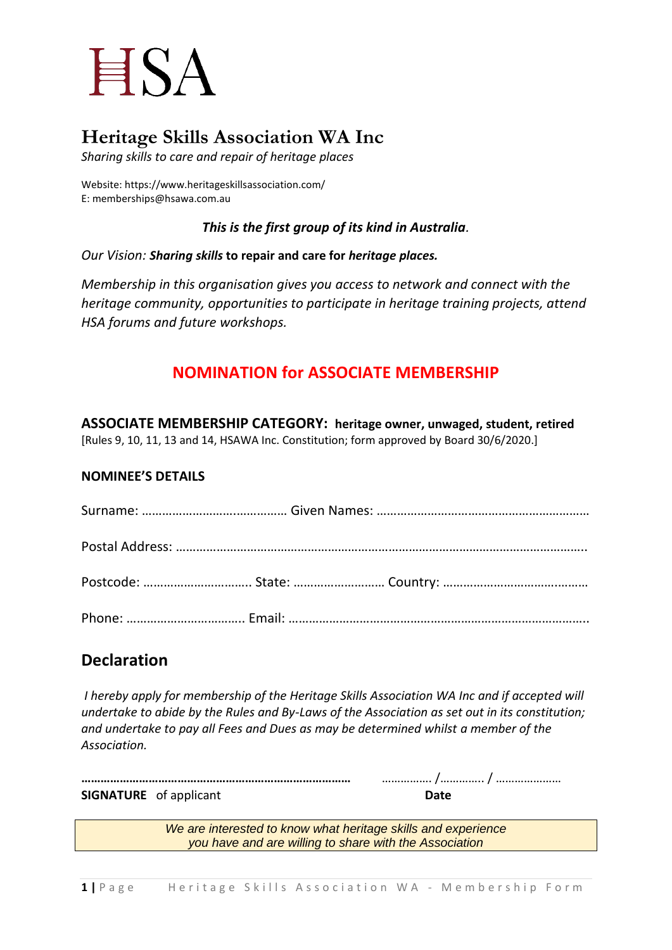# **ESA**

# **Heritage Skills Association WA Inc**

*Sharing skills to care and repair of heritage places*

Website: https://www.heritageskillsassociation.com/ E: memberships@hsawa.com.au

*This is the first group of its kind in Australia.*

*Our Vision: Sharing skills* **to repair and care for** *heritage places.*

*Membership in this organisation gives you access to network and connect with the heritage community, opportunities to participate in heritage training projects, attend HSA forums and future workshops.*

## **NOMINATION for ASSOCIATE MEMBERSHIP**

**ASSOCIATE MEMBERSHIP CATEGORY: heritage owner, unwaged, student, retired** [Rules 9, 10, 11, 13 and 14, HSAWA Inc. Constitution; form approved by Board 30/6/2020.]

### **NOMINEE'S DETAILS**

## **Declaration**

*I hereby apply for membership of the Heritage Skills Association WA Inc and if accepted will undertake to abide by the Rules and By-Laws of the Association as set out in its constitution; and undertake to pay all Fees and Dues as may be determined whilst a member of the Association.* 

**…………………………………………………………………………** ……………. /………….. / ………………… **SIGNATURE** of applicant **Date** 

*We are interested to know what heritage skills and experience you have and are willing to share with the Association*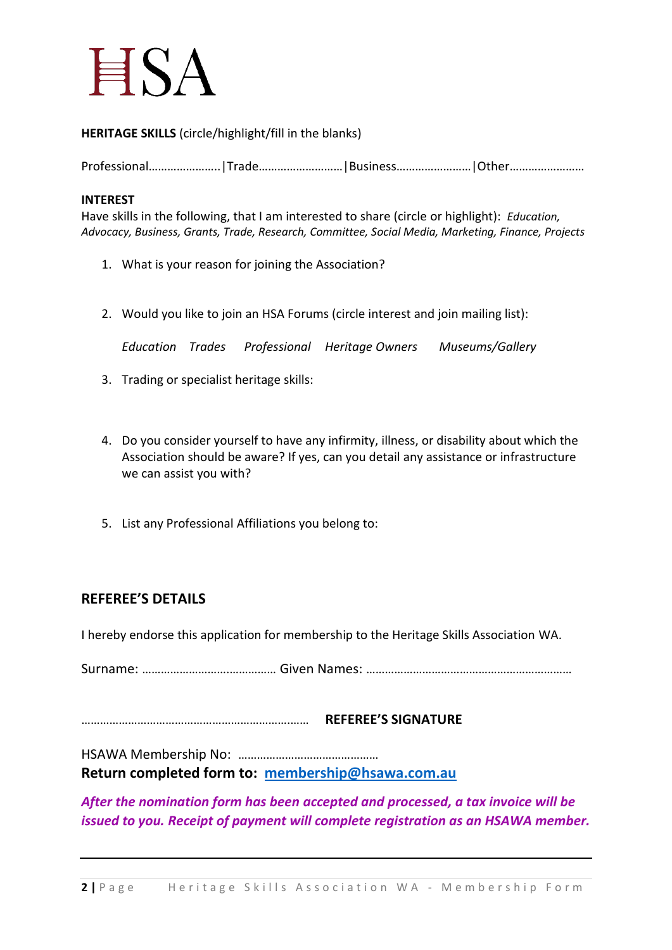

**HERITAGE SKILLS** (circle/highlight/fill in the blanks)

Professional…………………..|Trade………………………|Business……………………|Other……………………

#### **INTEREST**

Have skills in the following, that I am interested to share (circle or highlight): *Education, Advocacy, Business, Grants, Trade, Research, Committee, Social Media, Marketing, Finance, Projects*

- 1. What is your reason for joining the Association?
- 2. Would you like to join an HSA Forums (circle interest and join mailing list):

*Education Trades Professional Heritage Owners Museums/Gallery*

- 3. Trading or specialist heritage skills:
- 4. Do you consider yourself to have any infirmity, illness, or disability about which the Association should be aware? If yes, can you detail any assistance or infrastructure we can assist you with?
- 5. List any Professional Affiliations you belong to:

#### **REFEREE'S DETAILS**

I hereby endorse this application for membership to the Heritage Skills Association WA.

Surname: ……………………….…………… Given Names: …………………………………………………………

………………………………………………………….…… **REFEREE'S SIGNATURE** 

HSAWA Membership No: ……………………………………… **Return completed form to: [membership@hsawa.com.au](mailto:membership@hsawa.com.au)**

*After the nomination form has been accepted and processed, a tax invoice will be issued to you. Receipt of payment will complete registration as an HSAWA member.*